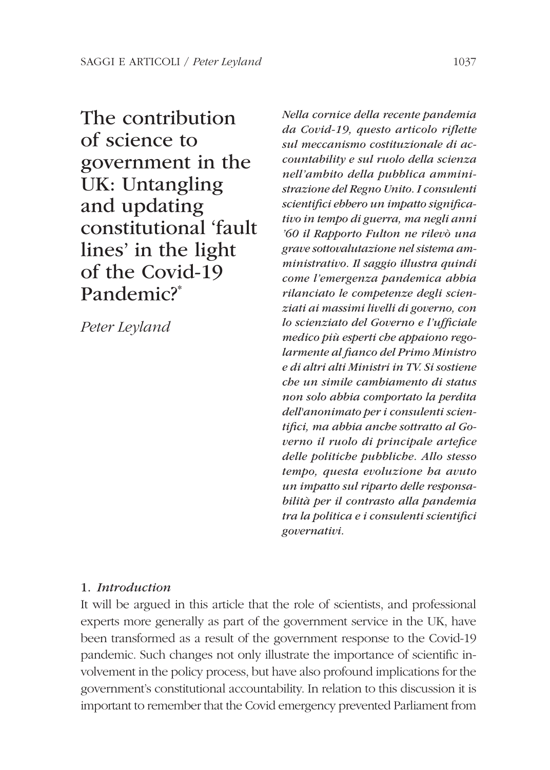The contribution of science to government in the UK: Untangling and updating constitutional 'fault lines' in the light of the Covid-19 Pandemic?\*

Peter Leyland

Nella cornice della recente pandemia da Covid-19, questo articolo riflette sul meccanismo costituzionale di accountability e sul ruolo della scienza nell'ambito della pubblica amministrazione del Regno Unito. I consulenti scientifici ebbero un impatto significativo in tempo di guerra, ma negli anni '60 il Rapporto Fulton ne rilevò una grave sottovalutazione nel sistema amministrativo. Il saggio illustra quindi come l'emergenza pandemica abbia rilanciato le competenze degli scienziati ai massimi livelli di governo, con lo scienziato del Governo e l'ufficiale medico più esperti che appaiono regolarmente al fianco del Primo Ministro e di altri alti Ministri in TV. Si sostiene che un simile cambiamento di status non solo abbia comportato la perdita dell'anonimato per i consulenti scientifici, ma abbia anche sottratto al Governo il ruolo di principale artefice delle politiche pubbliche. Allo stesso tempo, questa evoluzione ha avuto un impatto sul riparto delle responsabilità per il contrasto alla pandemia tra la politica e i consulenti scientifici governativi.

# 1. Introduction

It will be argued in this article that the role of scientists, and professional experts more generally as part of the government service in the UK, have been transformed as a result of the government response to the Covid-19 pandemic. Such changes not only illustrate the importance of scientific involvement in the policy process, but have also profound implications for the government's constitutional accountability. In relation to this discussion it is important to remember that the Covid emergency prevented Parliament from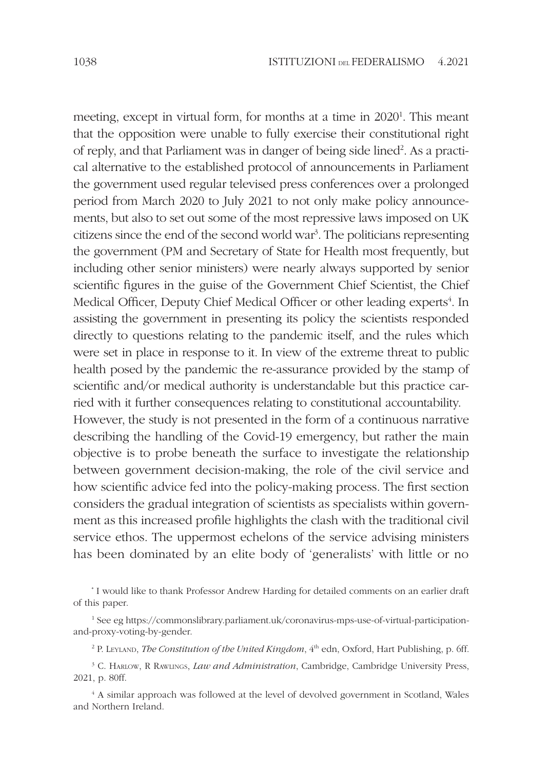meeting, except in virtual form, for months at a time in 2020<sup>1</sup>. This meant that the opposition were unable to fully exercise their constitutional right of reply, and that Parliament was in danger of being side lined<sup>2</sup>. As a practical alternative to the established protocol of announcements in Parliament the government used regular televised press conferences over a prolonged period from March 2020 to July 2021 to not only make policy announcements, but also to set out some of the most repressive laws imposed on UK citizens since the end of the second world war<sup>3</sup> . The politicians representing the government (PM and Secretary of State for Health most frequently, but including other senior ministers) were nearly always supported by senior scientific figures in the guise of the Government Chief Scientist, the Chief Medical Officer, Deputy Chief Medical Officer or other leading experts<sup>4</sup>. In assisting the government in presenting its policy the scientists responded directly to questions relating to the pandemic itself, and the rules which were set in place in response to it. In view of the extreme threat to public health posed by the pandemic the re-assurance provided by the stamp of scientific and/or medical authority is understandable but this practice carried with it further consequences relating to constitutional accountability. However, the study is not presented in the form of a continuous narrative describing the handling of the Covid-19 emergency, but rather the main objective is to probe beneath the surface to investigate the relationship between government decision-making, the role of the civil service and how scientific advice fed into the policy-making process. The first section considers the gradual integration of scientists as specialists within government as this increased profile highlights the clash with the traditional civil service ethos. The uppermost echelons of the service advising ministers has been dominated by an elite body of 'generalists' with little or no

\* I would like to thank Professor Andrew Harding for detailed comments on an earlier draft of this paper.

1 See eg https://commonslibrary.parliament.uk/coronavirus-mps-use-of-virtual-participationand-proxy-voting-by-gender.

<sup>2</sup> P. LEYLAND, *The Constitution of the United Kingdom*,  $4<sup>th</sup>$  edn, Oxford, Hart Publishing, p. 6ff.

<sup>3</sup> C. HARLOW, R RAWLINGS, *Law and Administration*, Cambridge, Cambridge University Press, 2021, p. 80ff.

4 A similar approach was followed at the level of devolved government in Scotland, Wales and Northern Ireland.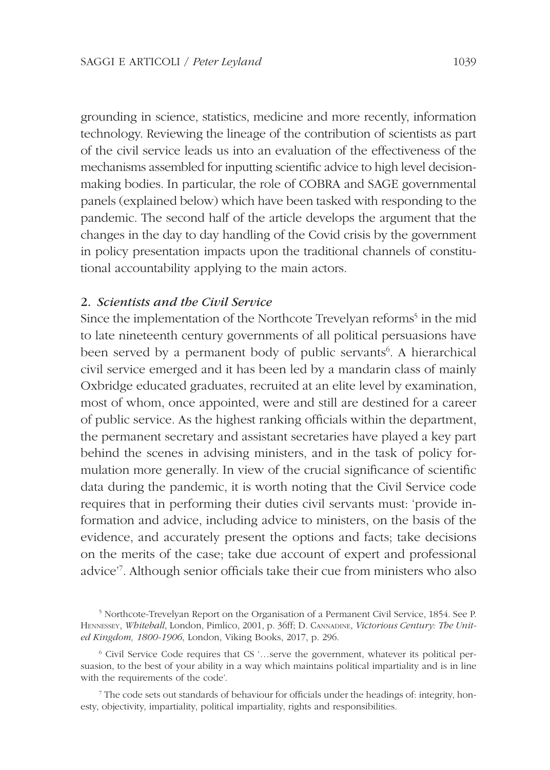grounding in science, statistics, medicine and more recently, information technology. Reviewing the lineage of the contribution of scientists as part of the civil service leads us into an evaluation of the effectiveness of the mechanisms assembled for inputting scientific advice to high level decisionmaking bodies. In particular, the role of COBRA and SAGE governmental panels (explained below) which have been tasked with responding to the pandemic. The second half of the article develops the argument that the changes in the day to day handling of the Covid crisis by the government in policy presentation impacts upon the traditional channels of constitutional accountability applying to the main actors.

# 2. Scientists and the Civil Service

Since the implementation of the Northcote Trevelyan reforms<sup>5</sup> in the mid to late nineteenth century governments of all political persuasions have been served by a permanent body of public servants<sup>6</sup>. A hierarchical civil service emerged and it has been led by a mandarin class of mainly Oxbridge educated graduates, recruited at an elite level by examination, most of whom, once appointed, were and still are destined for a career of public service. As the highest ranking officials within the department, the permanent secretary and assistant secretaries have played a key part behind the scenes in advising ministers, and in the task of policy formulation more generally. In view of the crucial significance of scientific data during the pandemic, it is worth noting that the Civil Service code requires that in performing their duties civil servants must: 'provide information and advice, including advice to ministers, on the basis of the evidence, and accurately present the options and facts; take decisions on the merits of the case; take due account of expert and professional advice'<sup>7</sup> . Although senior officials take their cue from ministers who also

<sup>5</sup> Northcote-Trevelyan Report on the Organisation of a Permanent Civil Service, 1854. See P. HENNESSEY, Whitehall, London, Pimlico, 2001, p. 36ff; D. CANNADINE, Victorious Century: The United Kingdom, 1800-1906, London, Viking Books, 2017, p. 296.

<sup>6</sup> Civil Service Code requires that CS '…serve the government, whatever its political persuasion, to the best of your ability in a way which maintains political impartiality and is in line with the requirements of the code'.

<sup>7</sup> The code sets out standards of behaviour for officials under the headings of: integrity, honesty, objectivity, impartiality, political impartiality, rights and responsibilities.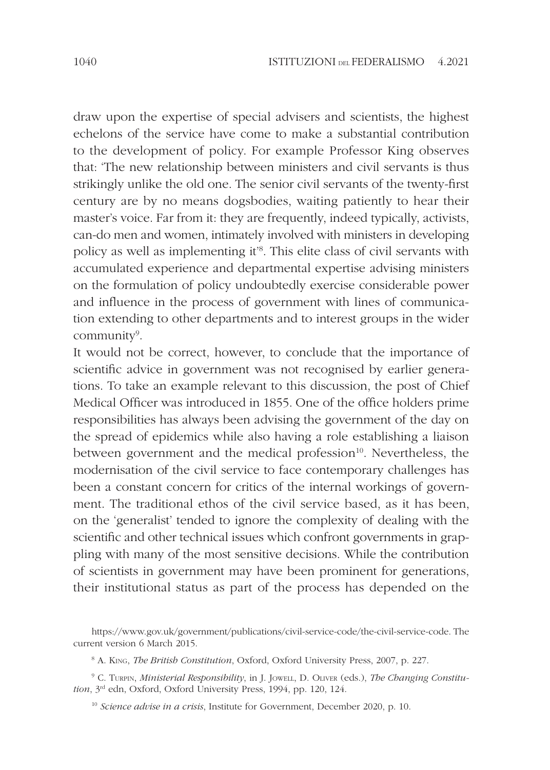draw upon the expertise of special advisers and scientists, the highest echelons of the service have come to make a substantial contribution to the development of policy. For example Professor King observes that: 'The new relationship between ministers and civil servants is thus strikingly unlike the old one. The senior civil servants of the twenty-first century are by no means dogsbodies, waiting patiently to hear their master's voice. Far from it: they are frequently, indeed typically, activists, can-do men and women, intimately involved with ministers in developing policy as well as implementing it'<sup>8</sup> . This elite class of civil servants with accumulated experience and departmental expertise advising ministers on the formulation of policy undoubtedly exercise considerable power and influence in the process of government with lines of communication extending to other departments and to interest groups in the wider community<sup>9</sup>.

It would not be correct, however, to conclude that the importance of scientific advice in government was not recognised by earlier generations. To take an example relevant to this discussion, the post of Chief Medical Officer was introduced in 1855. One of the office holders prime responsibilities has always been advising the government of the day on the spread of epidemics while also having a role establishing a liaison between government and the medical profession<sup>10</sup>. Nevertheless, the modernisation of the civil service to face contemporary challenges has been a constant concern for critics of the internal workings of government. The traditional ethos of the civil service based, as it has been, on the 'generalist' tended to ignore the complexity of dealing with the scientific and other technical issues which confront governments in grappling with many of the most sensitive decisions. While the contribution of scientists in government may have been prominent for generations, their institutional status as part of the process has depended on the

https://www.gov.uk/government/publications/civil-service-code/the-civil-service-code. The current version 6 March 2015.

<sup>8</sup> A. KING, The British Constitution, Oxford, Oxford University Press, 2007, p. 227.

<sup>&</sup>lt;sup>9</sup> C. TURPIN, *Ministerial Responsibility*, in J. JOWELL, D. OLIVER (eds.), The Changing Constitution, 3rd edn, Oxford, Oxford University Press, 1994, pp. 120, 124.

 $10$  Science advise in a crisis, Institute for Government, December 2020, p. 10.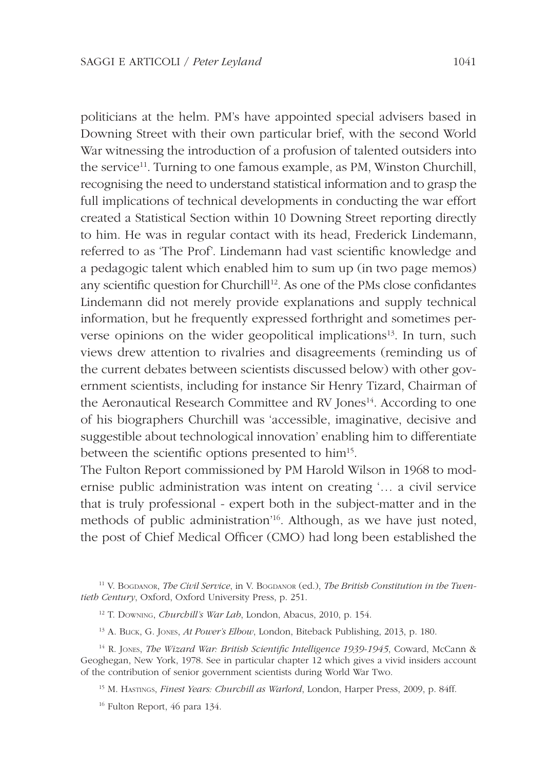politicians at the helm. PM's have appointed special advisers based in Downing Street with their own particular brief, with the second World War witnessing the introduction of a profusion of talented outsiders into the service<sup>11</sup>. Turning to one famous example, as PM, Winston Churchill, recognising the need to understand statistical information and to grasp the full implications of technical developments in conducting the war effort created a Statistical Section within 10 Downing Street reporting directly to him. He was in regular contact with its head, Frederick Lindemann, referred to as 'The Prof'. Lindemann had vast scientific knowledge and a pedagogic talent which enabled him to sum up (in two page memos) any scientific question for Churchill<sup>12</sup>. As one of the PMs close confidantes Lindemann did not merely provide explanations and supply technical information, but he frequently expressed forthright and sometimes perverse opinions on the wider geopolitical implications<sup>13</sup>. In turn, such views drew attention to rivalries and disagreements (reminding us of the current debates between scientists discussed below) with other government scientists, including for instance Sir Henry Tizard, Chairman of the Aeronautical Research Committee and RV Jones<sup>14</sup>. According to one of his biographers Churchill was 'accessible, imaginative, decisive and suggestible about technological innovation' enabling him to differentiate between the scientific options presented to him<sup>15</sup>.

The Fulton Report commissioned by PM Harold Wilson in 1968 to modernise public administration was intent on creating '… a civil service that is truly professional - expert both in the subject-matter and in the methods of public administration<sup>'16</sup>. Although, as we have just noted, the post of Chief Medical Officer (CMO) had long been established the

- <sup>13</sup> A. BLICK, G. JONES, At Power's Elbow, London, Biteback Publishing, 2013, p. 180.
- $14$  R. Jones, *The Wizard War: British Scientific Intelligence 1939-1945*, Coward, McCann & Geoghegan, New York, 1978. See in particular chapter 12 which gives a vivid insiders account of the contribution of senior government scientists during World War Two.
	- <sup>15</sup> M. HASTINGS, *Finest Years: Churchill as Warlord*, London, Harper Press, 2009, p. 84ff.
	- 16 Fulton Report, 46 para 134.

 $11$  V. BOGDANOR, The Civil Service, in V. BOGDANOR (ed.), The British Constitution in the Twentieth Century, Oxford, Oxford University Press, p. 251.

<sup>&</sup>lt;sup>12</sup> T. Downing, *Churchill's War Lab*, London, Abacus, 2010, p. 154.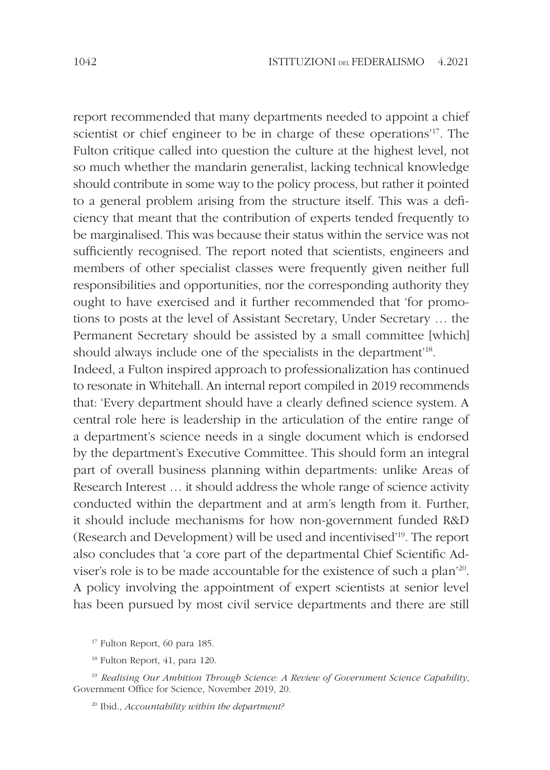report recommended that many departments needed to appoint a chief scientist or chief engineer to be in charge of these operations'<sup>17</sup>. The Fulton critique called into question the culture at the highest level, not so much whether the mandarin generalist, lacking technical knowledge should contribute in some way to the policy process, but rather it pointed to a general problem arising from the structure itself. This was a deficiency that meant that the contribution of experts tended frequently to be marginalised. This was because their status within the service was not sufficiently recognised. The report noted that scientists, engineers and members of other specialist classes were frequently given neither full responsibilities and opportunities, nor the corresponding authority they ought to have exercised and it further recommended that 'for promotions to posts at the level of Assistant Secretary, Under Secretary … the Permanent Secretary should be assisted by a small committee [which] should always include one of the specialists in the department<sup>18</sup>.

Indeed, a Fulton inspired approach to professionalization has continued to resonate in Whitehall. An internal report compiled in 2019 recommends that: 'Every department should have a clearly defined science system. A central role here is leadership in the articulation of the entire range of a department's science needs in a single document which is endorsed by the department's Executive Committee. This should form an integral part of overall business planning within departments: unlike Areas of Research Interest … it should address the whole range of science activity conducted within the department and at arm's length from it. Further, it should include mechanisms for how non-government funded R&D (Research and Development) will be used and incentivised'<sup>19</sup>. The report also concludes that 'a core part of the departmental Chief Scientific Adviser's role is to be made accountable for the existence of such a plan<sup>20</sup>. A policy involving the appointment of expert scientists at senior level has been pursued by most civil service departments and there are still

<sup>17</sup> Fulton Report, 60 para 185.

<sup>19</sup> Realising Our Ambition Through Science: A Review of Government Science Capability, Government Office for Science, November 2019, 20.

<sup>20</sup> Ibid., *Accountability within the department?* 

<sup>18</sup> Fulton Report, 41, para 120.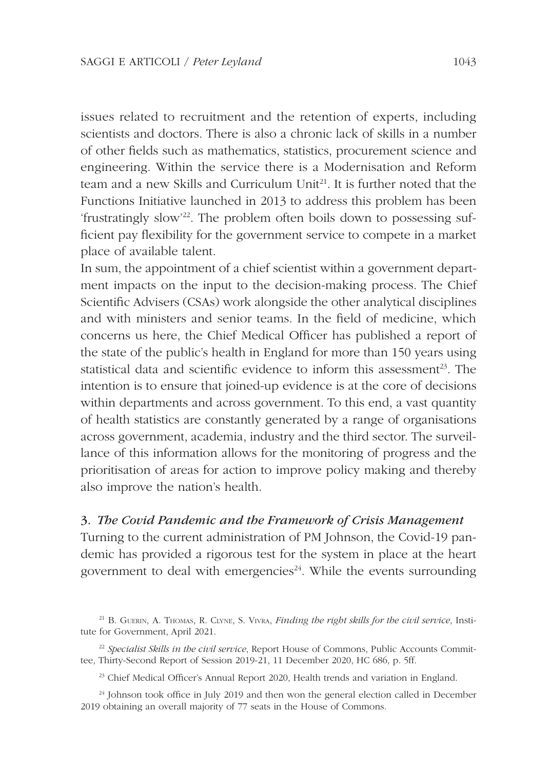issues related to recruitment and the retention of experts, including scientists and doctors. There is also a chronic lack of skills in a number of other fields such as mathematics, statistics, procurement science and engineering. Within the service there is a Modernisation and Reform team and a new Skills and Curriculum Unit<sup>21</sup>. It is further noted that the Functions Initiative launched in 2013 to address this problem has been 'frustratingly slow'22. The problem often boils down to possessing sufficient pay flexibility for the government service to compete in a market place of available talent.

In sum, the appointment of a chief scientist within a government department impacts on the input to the decision-making process. The Chief Scientific Advisers (CSAs) work alongside the other analytical disciplines and with ministers and senior teams. In the field of medicine, which concerns us here, the Chief Medical Officer has published a report of the state of the public's health in England for more than 150 years using statistical data and scientific evidence to inform this assessment<sup>23</sup>. The intention is to ensure that joined-up evidence is at the core of decisions within departments and across government. To this end, a vast quantity of health statistics are constantly generated by a range of organisations across government, academia, industry and the third sector. The surveillance of this information allows for the monitoring of progress and the prioritisation of areas for action to improve policy making and thereby also improve the nation's health.

# 3. The Covid Pandemic and the Framework of Crisis Management

Turning to the current administration of PM Johnson, the Covid-19 pandemic has provided a rigorous test for the system in place at the heart government to deal with emergencies<sup> $24$ </sup>. While the events surrounding

<sup>&</sup>lt;sup>21</sup> B. GUERIN, A. THOMAS, R. CLYNE, S. VIVRA, Finding the right skills for the civil service, Institute for Government, April 2021.

 $22$  Specialist Skills in the civil service, Report House of Commons, Public Accounts Committee, Thirty-Second Report of Session 2019-21, 11 December 2020, HC 686, p. 5ff.

<sup>&</sup>lt;sup>23</sup> Chief Medical Officer's Annual Report 2020, Health trends and variation in England.

<sup>&</sup>lt;sup>24</sup> Johnson took office in July 2019 and then won the general election called in December 2019 obtaining an overall majority of 77 seats in the House of Commons.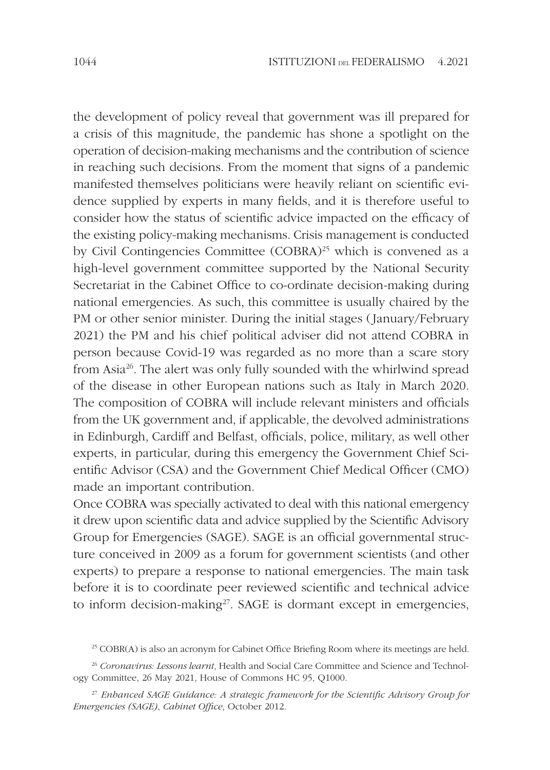the development of policy reveal that government was ill prepared for a crisis of this magnitude, the pandemic has shone a spotlight on the operation of decision-making mechanisms and the contribution of science in reaching such decisions. From the moment that signs of a pandemic manifested themselves politicians were heavily reliant on scientific evidence supplied by experts in many fields, and it is therefore useful to consider how the status of scientific advice impacted on the efficacy of the existing policy-making mechanisms. Crisis management is conducted by Civil Contingencies Committee (COBRA)<sup>25</sup> which is convened as a high-level government committee supported by the National Security Secretariat in the Cabinet Office to co-ordinate decision-making during national emergencies. As such, this committee is usually chaired by the PM or other senior minister. During the initial stages (January/February 2021) the PM and his chief political adviser did not attend COBRA in person because Covid-19 was regarded as no more than a scare story from Asia<sup>26</sup>. The alert was only fully sounded with the whirlwind spread of the disease in other European nations such as Italy in March 2020. The composition of COBRA will include relevant ministers and officials from the UK government and, if applicable, the devolved administrations in Edinburgh, Cardiff and Belfast, officials, police, military, as well other experts, in particular, during this emergency the Government Chief Scientific Advisor (CSA) and the Government Chief Medical Officer (CMO) made an important contribution.

Once COBRA was specially activated to deal with this national emergency it drew upon scientific data and advice supplied by the Scientific Advisory Group for Emergencies (SAGE). SAGE is an official governmental structure conceived in 2009 as a forum for government scientists (and other experts) to prepare a response to national emergencies. The main task before it is to coordinate peer reviewed scientific and technical advice to inform decision-making<sup>27</sup>. SAGE is dormant except in emergencies,

 $^{25}$  COBR(A) is also an acronym for Cabinet Office Briefing Room where its meetings are held.

 $26$  Coronavirus: Lessons learnt, Health and Social Care Committee and Science and Technology Committee, 26 May 2021, House of Commons HC 95, Q1000.

 $27$  Enhanced SAGE Guidance: A strategic framework for the Scientific Advisory Group for Emergencies (SAGE), Cabinet Office, October 2012.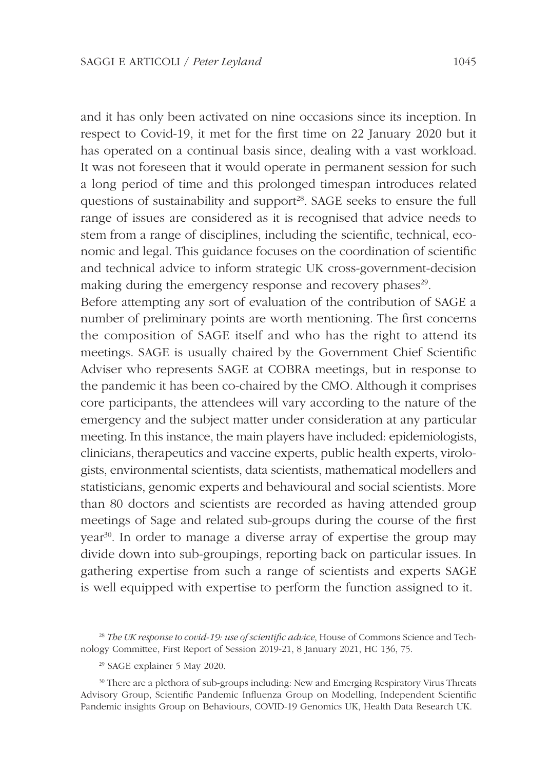and it has only been activated on nine occasions since its inception. In respect to Covid-19, it met for the first time on 22 January 2020 but it has operated on a continual basis since, dealing with a vast workload. It was not foreseen that it would operate in permanent session for such a long period of time and this prolonged timespan introduces related questions of sustainability and support<sup>28</sup>. SAGE seeks to ensure the full range of issues are considered as it is recognised that advice needs to stem from a range of disciplines, including the scientific, technical, economic and legal. This guidance focuses on the coordination of scientific and technical advice to inform strategic UK cross-government-decision making during the emergency response and recovery phases<sup>29</sup>.

Before attempting any sort of evaluation of the contribution of SAGE a number of preliminary points are worth mentioning. The first concerns the composition of SAGE itself and who has the right to attend its meetings. SAGE is usually chaired by the Government Chief Scientific Adviser who represents SAGE at COBRA meetings, but in response to the pandemic it has been co-chaired by the CMO. Although it comprises core participants, the attendees will vary according to the nature of the emergency and the subject matter under consideration at any particular meeting. In this instance, the main players have included: epidemiologists, clinicians, therapeutics and vaccine experts, public health experts, virologists, environmental scientists, data scientists, mathematical modellers and statisticians, genomic experts and behavioural and social scientists. More than 80 doctors and scientists are recorded as having attended group meetings of Sage and related sub-groups during the course of the first year<sup>30</sup>. In order to manage a diverse array of expertise the group may divide down into sub-groupings, reporting back on particular issues. In gathering expertise from such a range of scientists and experts SAGE is well equipped with expertise to perform the function assigned to it.

<sup>&</sup>lt;sup>28</sup> The UK response to covid-19: use of scientific advice. House of Commons Science and Technology Committee, First Report of Session 2019-21, 8 January 2021, HC 136, 75.

<sup>29</sup> SAGE explainer 5 May 2020.

<sup>30</sup> There are a plethora of sub-groups including: New and Emerging Respiratory Virus Threats Advisory Group, Scientific Pandemic Influenza Group on Modelling, Independent Scientific Pandemic insights Group on Behaviours, COVID-19 Genomics UK, Health Data Research UK.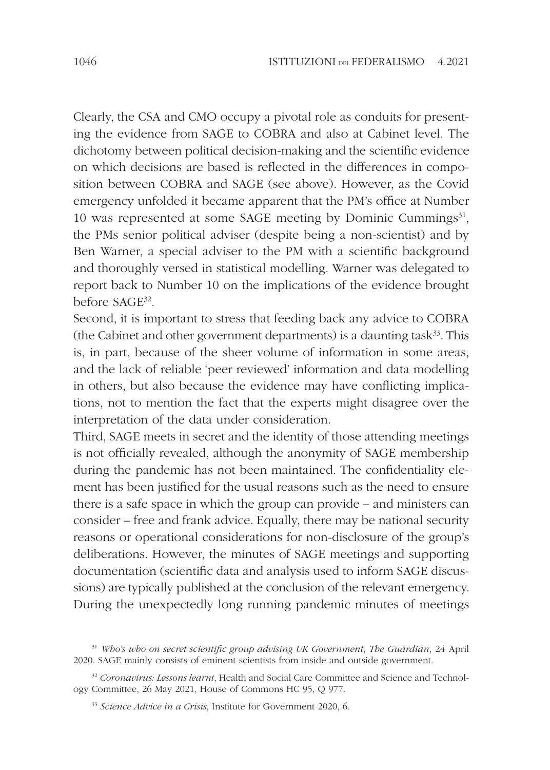Clearly, the CSA and CMO occupy a pivotal role as conduits for presenting the evidence from SAGE to COBRA and also at Cabinet level. The dichotomy between political decision-making and the scientific evidence on which decisions are based is reflected in the differences in composition between COBRA and SAGE (see above). However, as the Covid emergency unfolded it became apparent that the PM's office at Number 10 was represented at some SAGE meeting by Dominic Cummings $31$ , the PMs senior political adviser (despite being a non-scientist) and by Ben Warner, a special adviser to the PM with a scientific background and thoroughly versed in statistical modelling. Warner was delegated to report back to Number 10 on the implications of the evidence brought before SAGE<sup>32</sup> .

Second, it is important to stress that feeding back any advice to COBRA (the Cabinet and other government departments) is a daunting task $33$ . This is, in part, because of the sheer volume of information in some areas, and the lack of reliable 'peer reviewed' information and data modelling in others, but also because the evidence may have conflicting implications, not to mention the fact that the experts might disagree over the interpretation of the data under consideration.

Third, SAGE meets in secret and the identity of those attending meetings is not officially revealed, although the anonymity of SAGE membership during the pandemic has not been maintained. The confidentiality element has been justified for the usual reasons such as the need to ensure there is a safe space in which the group can provide – and ministers can consider – free and frank advice. Equally, there may be national security reasons or operational considerations for non-disclosure of the group's deliberations. However, the minutes of SAGE meetings and supporting documentation (scientific data and analysis used to inform SAGE discussions) are typically published at the conclusion of the relevant emergency. During the unexpectedly long running pandemic minutes of meetings

<sup>&</sup>lt;sup>31</sup> Who's who on secret scientific group advising UK Government, The Guardian, 24 April 2020. SAGE mainly consists of eminent scientists from inside and outside government.

<sup>&</sup>lt;sup>32</sup> Coronavirus: Lessons learnt, Health and Social Care Committee and Science and Technology Committee, 26 May 2021, House of Commons HC 95, Q 977.

<sup>&</sup>lt;sup>33</sup> Science Advice in a Crisis, Institute for Government 2020, 6.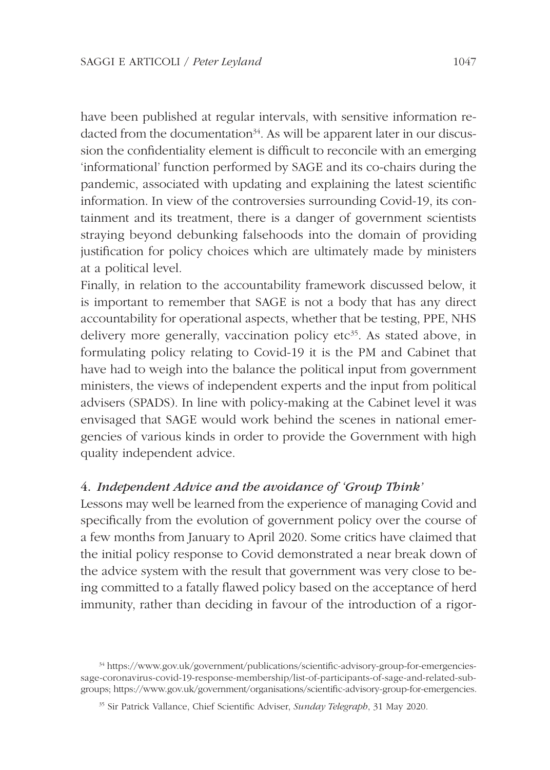have been published at regular intervals, with sensitive information redacted from the documentation<sup>34</sup>. As will be apparent later in our discussion the confidentiality element is difficult to reconcile with an emerging 'informational' function performed by SAGE and its co-chairs during the pandemic, associated with updating and explaining the latest scientific information. In view of the controversies surrounding Covid-19, its containment and its treatment, there is a danger of government scientists straying beyond debunking falsehoods into the domain of providing justification for policy choices which are ultimately made by ministers at a political level.

Finally, in relation to the accountability framework discussed below, it is important to remember that SAGE is not a body that has any direct accountability for operational aspects, whether that be testing, PPE, NHS delivery more generally, vaccination policy etc<sup>35</sup>. As stated above, in formulating policy relating to Covid-19 it is the PM and Cabinet that have had to weigh into the balance the political input from government ministers, the views of independent experts and the input from political advisers (SPADS). In line with policy-making at the Cabinet level it was envisaged that SAGE would work behind the scenes in national emergencies of various kinds in order to provide the Government with high quality independent advice.

# 4. Independent Advice and the avoidance of 'Group Think'

Lessons may well be learned from the experience of managing Covid and specifically from the evolution of government policy over the course of a few months from January to April 2020. Some critics have claimed that the initial policy response to Covid demonstrated a near break down of the advice system with the result that government was very close to being committed to a fatally flawed policy based on the acceptance of herd immunity, rather than deciding in favour of the introduction of a rigor-

<sup>34</sup> https://www.gov.uk/government/publications/scientific-advisory-group-for-emergenciessage-coronavirus-covid-19-response-membership/list-of-participants-of-sage-and-related-subgroups; https://www.gov.uk/government/organisations/scientific-advisory-group-for-emergencies.

<sup>&</sup>lt;sup>35</sup> Sir Patrick Vallance, Chief Scientific Adviser, Sunday Telegraph, 31 May 2020.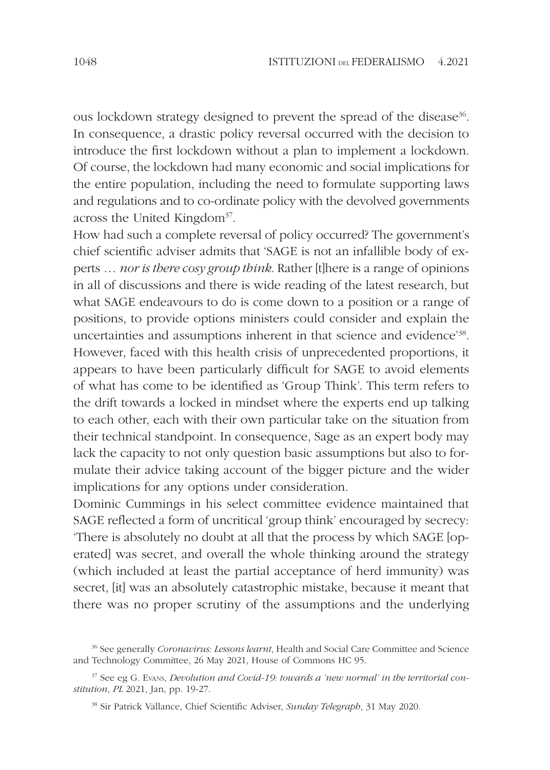ous lockdown strategy designed to prevent the spread of the disease<sup>36</sup>. In consequence, a drastic policy reversal occurred with the decision to introduce the first lockdown without a plan to implement a lockdown. Of course, the lockdown had many economic and social implications for the entire population, including the need to formulate supporting laws and regulations and to co-ordinate policy with the devolved governments across the United Kingdom<sup>37</sup>.

How had such a complete reversal of policy occurred? The government's chief scientific adviser admits that 'SAGE is not an infallible body of experts ... *nor is there cosy group think*. Rather [t]here is a range of opinions in all of discussions and there is wide reading of the latest research, but what SAGE endeavours to do is come down to a position or a range of positions, to provide options ministers could consider and explain the uncertainties and assumptions inherent in that science and evidence'<sup>38</sup> . However, faced with this health crisis of unprecedented proportions, it appears to have been particularly difficult for SAGE to avoid elements of what has come to be identified as 'Group Think'. This term refers to the drift towards a locked in mindset where the experts end up talking to each other, each with their own particular take on the situation from their technical standpoint. In consequence, Sage as an expert body may lack the capacity to not only question basic assumptions but also to formulate their advice taking account of the bigger picture and the wider implications for any options under consideration.

Dominic Cummings in his select committee evidence maintained that SAGE reflected a form of uncritical 'group think' encouraged by secrecy: 'There is absolutely no doubt at all that the process by which SAGE [operated] was secret, and overall the whole thinking around the strategy (which included at least the partial acceptance of herd immunity) was secret, [it] was an absolutely catastrophic mistake, because it meant that there was no proper scrutiny of the assumptions and the underlying

<sup>&</sup>lt;sup>36</sup> See generally *Coronavirus: Lessons learnt*, Health and Social Care Committee and Science and Technology Committee, 26 May 2021, House of Commons HC 95.

 $37$  See eg G. Evans, Devolution and Covid-19: towards a 'new normal' in the territorial constitution, PL 2021, Jan, pp. 19-27.

<sup>&</sup>lt;sup>38</sup> Sir Patrick Vallance, Chief Scientific Adviser, Sunday Telegraph, 31 May 2020.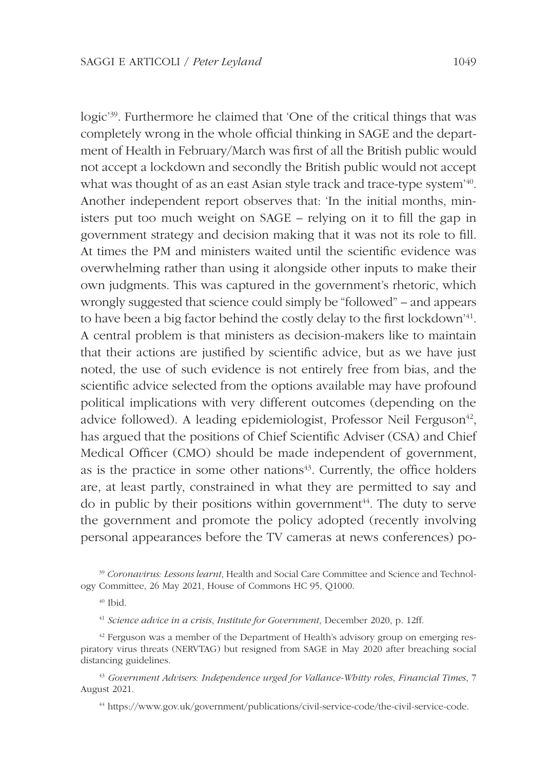logic'<sup>39</sup>. Furthermore he claimed that 'One of the critical things that was completely wrong in the whole official thinking in SAGE and the department of Health in February/March was first of all the British public would not accept a lockdown and secondly the British public would not accept what was thought of as an east Asian style track and trace-type system'<sup>40</sup> . Another independent report observes that: 'In the initial months, ministers put too much weight on SAGE – relying on it to fill the gap in government strategy and decision making that it was not its role to fill. At times the PM and ministers waited until the scientific evidence was overwhelming rather than using it alongside other inputs to make their own judgments. This was captured in the government's rhetoric, which wrongly suggested that science could simply be "followed" – and appears to have been a big factor behind the costly delay to the first lockdown'<sup>41</sup> . A central problem is that ministers as decision-makers like to maintain that their actions are justified by scientific advice, but as we have just noted, the use of such evidence is not entirely free from bias, and the scientific advice selected from the options available may have profound political implications with very different outcomes (depending on the advice followed). A leading epidemiologist, Professor Neil Ferguson<sup>42</sup>, has argued that the positions of Chief Scientific Adviser (CSA) and Chief Medical Officer (CMO) should be made independent of government, as is the practice in some other nations $43$ . Currently, the office holders are, at least partly, constrained in what they are permitted to say and do in public by their positions within government $44$ . The duty to serve the government and promote the policy adopted (recently involving personal appearances before the TV cameras at news conferences) po-

 $40$  Ibid.

 $42$  Ferguson was a member of the Department of Health's advisory group on emerging respiratory virus threats (NERVTAG) but resigned from SAGE in May 2020 after breaching social distancing guidelines.

 $43$  Government Advisers: Independence urged for Vallance-Whitty roles, Financial Times, 7 August 2021.

44 https://www.gov.uk/government/publications/civil-service-code/the-civil-service-code.

<sup>&</sup>lt;sup>39</sup> Coronavirus: Lessons learnt, Health and Social Care Committee and Science and Technology Committee, 26 May 2021, House of Commons HC 95, Q1000.

 $41$  Science advice in a crisis, Institute for Government, December 2020, p. 12ff.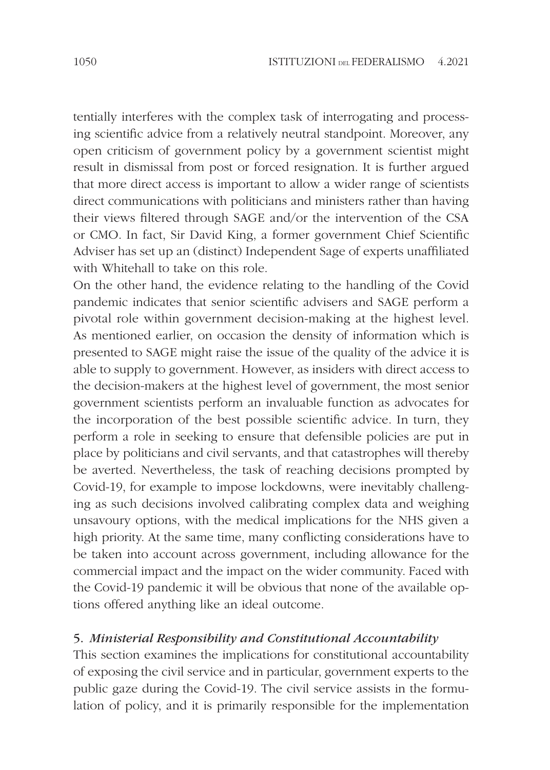tentially interferes with the complex task of interrogating and processing scientific advice from a relatively neutral standpoint. Moreover, any open criticism of government policy by a government scientist might result in dismissal from post or forced resignation. It is further argued that more direct access is important to allow a wider range of scientists direct communications with politicians and ministers rather than having their views filtered through SAGE and/or the intervention of the CSA or CMO. In fact, Sir David King, a former government Chief Scientific Adviser has set up an (distinct) Independent Sage of experts unaffiliated with Whitehall to take on this role.

On the other hand, the evidence relating to the handling of the Covid pandemic indicates that senior scientific advisers and SAGE perform a pivotal role within government decision-making at the highest level. As mentioned earlier, on occasion the density of information which is presented to SAGE might raise the issue of the quality of the advice it is able to supply to government. However, as insiders with direct access to the decision-makers at the highest level of government, the most senior government scientists perform an invaluable function as advocates for the incorporation of the best possible scientific advice. In turn, they perform a role in seeking to ensure that defensible policies are put in place by politicians and civil servants, and that catastrophes will thereby be averted. Nevertheless, the task of reaching decisions prompted by Covid-19, for example to impose lockdowns, were inevitably challenging as such decisions involved calibrating complex data and weighing unsavoury options, with the medical implications for the NHS given a high priority. At the same time, many conflicting considerations have to be taken into account across government, including allowance for the commercial impact and the impact on the wider community. Faced with the Covid-19 pandemic it will be obvious that none of the available options offered anything like an ideal outcome.

#### 5. Ministerial Responsibility and Constitutional Accountability

This section examines the implications for constitutional accountability of exposing the civil service and in particular, government experts to the public gaze during the Covid-19. The civil service assists in the formulation of policy, and it is primarily responsible for the implementation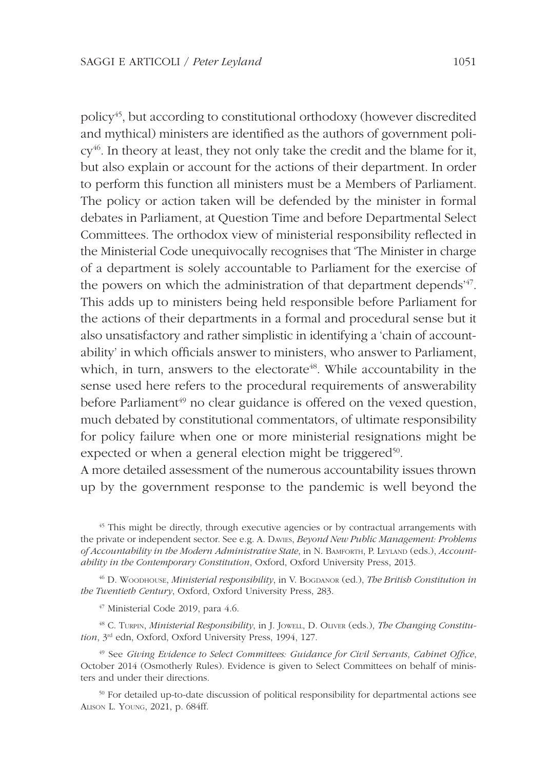policy<sup>45</sup>, but according to constitutional orthodoxy (however discredited and mythical) ministers are identified as the authors of government policy<sup>46</sup>. In theory at least, they not only take the credit and the blame for it, but also explain or account for the actions of their department. In order to perform this function all ministers must be a Members of Parliament. The policy or action taken will be defended by the minister in formal debates in Parliament, at Question Time and before Departmental Select Committees. The orthodox view of ministerial responsibility reflected in the Ministerial Code unequivocally recognises that 'The Minister in charge of a department is solely accountable to Parliament for the exercise of the powers on which the administration of that department depends<sup>147</sup>. This adds up to ministers being held responsible before Parliament for the actions of their departments in a formal and procedural sense but it also unsatisfactory and rather simplistic in identifying a 'chain of accountability' in which officials answer to ministers, who answer to Parliament, which, in turn, answers to the electorate<sup>48</sup>. While accountability in the sense used here refers to the procedural requirements of answerability before Parliament<sup>49</sup> no clear guidance is offered on the vexed question, much debated by constitutional commentators, of ultimate responsibility for policy failure when one or more ministerial resignations might be expected or when a general election might be triggered<sup>50</sup>.

A more detailed assessment of the numerous accountability issues thrown up by the government response to the pandemic is well beyond the

<sup>45</sup> This might be directly, through executive agencies or by contractual arrangements with the private or independent sector. See e.g. A. Daviss, Beyond New Public Management: Problems of Accountability in the Modern Administrative State, in N. BAMFORTH, P. LEYLAND (eds.), Accountability in the Contemporary Constitution, Oxford, Oxford University Press, 2013.

 $46$  D. WOODHOUSE, *Ministerial responsibility*, in V. BOGDANOR (ed.), *The British Constitution in* the Twentieth Century, Oxford, Oxford University Press, 283.

<sup>47</sup> Ministerial Code 2019, para 4.6.

 $48$  C. TURPIN, *Ministerial Responsibility*, in J. JOWELL, D. OLIVER (eds.), *The Changing Constitu*tion, 3<sup>rd</sup> edn, Oxford, Oxford University Press, 1994, 127.

 $49$  See Giving Evidence to Select Committees: Guidance for Civil Servants, Cabinet Office, October 2014 (Osmotherly Rules). Evidence is given to Select Committees on behalf of ministers and under their directions.

<sup>50</sup> For detailed up-to-date discussion of political responsibility for departmental actions see ALISON L. YOUNG, 2021, p. 684ff.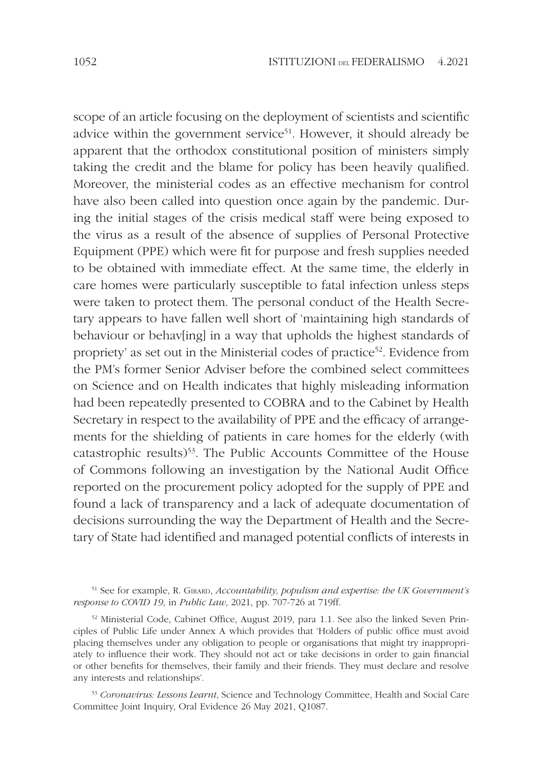scope of an article focusing on the deployment of scientists and scientific advice within the government service<sup>51</sup>. However, it should already be apparent that the orthodox constitutional position of ministers simply taking the credit and the blame for policy has been heavily qualified. Moreover, the ministerial codes as an effective mechanism for control have also been called into question once again by the pandemic. During the initial stages of the crisis medical staff were being exposed to the virus as a result of the absence of supplies of Personal Protective Equipment (PPE) which were fit for purpose and fresh supplies needed to be obtained with immediate effect. At the same time, the elderly in care homes were particularly susceptible to fatal infection unless steps were taken to protect them. The personal conduct of the Health Secretary appears to have fallen well short of 'maintaining high standards of behaviour or behav[ing] in a way that upholds the highest standards of propriety' as set out in the Ministerial codes of practice<sup>52</sup>. Evidence from the PM's former Senior Adviser before the combined select committees on Science and on Health indicates that highly misleading information had been repeatedly presented to COBRA and to the Cabinet by Health Secretary in respect to the availability of PPE and the efficacy of arrangements for the shielding of patients in care homes for the elderly (with catastrophic results)<sup>53</sup>. The Public Accounts Committee of the House of Commons following an investigation by the National Audit Office reported on the procurement policy adopted for the supply of PPE and found a lack of transparency and a lack of adequate documentation of decisions surrounding the way the Department of Health and the Secretary of State had identified and managed potential conflicts of interests in

52 Ministerial Code, Cabinet Office, August 2019, para 1.1. See also the linked Seven Principles of Public Life under Annex A which provides that 'Holders of public office must avoid placing themselves under any obligation to people or organisations that might try inappropriately to influence their work. They should not act or take decisions in order to gain financial or other benefits for themselves, their family and their friends. They must declare and resolve any interests and relationships'.

53 Coronavirus: Lessons Learnt, Science and Technology Committee, Health and Social Care Committee Joint Inquiry, Oral Evidence 26 May 2021, Q1087.

 $51$  See for example, R. GIRARD, Accountability, populism and expertise: the UK Government's response to COVID 19, in Public Law, 2021, pp. 707-726 at 719ff.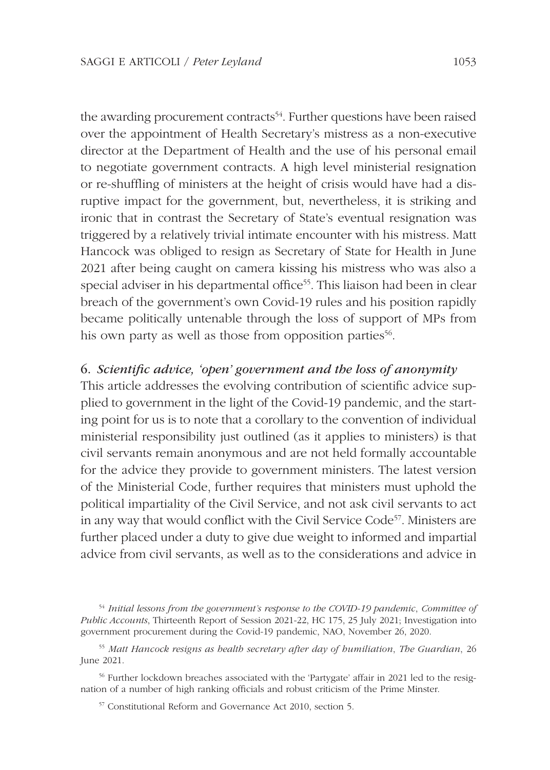the awarding procurement contracts<sup>54</sup>. Further questions have been raised over the appointment of Health Secretary's mistress as a non-executive director at the Department of Health and the use of his personal email to negotiate government contracts. A high level ministerial resignation or re-shuffling of ministers at the height of crisis would have had a disruptive impact for the government, but, nevertheless, it is striking and ironic that in contrast the Secretary of State's eventual resignation was triggered by a relatively trivial intimate encounter with his mistress. Matt Hancock was obliged to resign as Secretary of State for Health in June 2021 after being caught on camera kissing his mistress who was also a special adviser in his departmental office<sup>55</sup>. This liaison had been in clear breach of the government's own Covid-19 rules and his position rapidly became politically untenable through the loss of support of MPs from his own party as well as those from opposition parties<sup>56</sup>.

# 6. Scientific advice, 'open' government and the loss of anonymity

This article addresses the evolving contribution of scientific advice supplied to government in the light of the Covid-19 pandemic, and the starting point for us is to note that a corollary to the convention of individual ministerial responsibility just outlined (as it applies to ministers) is that civil servants remain anonymous and are not held formally accountable for the advice they provide to government ministers. The latest version of the Ministerial Code, further requires that ministers must uphold the political impartiality of the Civil Service, and not ask civil servants to act in any way that would conflict with the Civil Service Code<sup>57</sup>. Ministers are further placed under a duty to give due weight to informed and impartial advice from civil servants, as well as to the considerations and advice in

 $55$  Matt Hancock resigns as health secretary after day of humiliation. The Guardian, 26 June 2021.

56 Further lockdown breaches associated with the 'Partygate' affair in 2021 led to the resignation of a number of high ranking officials and robust criticism of the Prime Minster.

57 Constitutional Reform and Governance Act 2010, section 5.

<sup>&</sup>lt;sup>54</sup> Initial lessons from the government's response to the COVID-19 pandemic, Committee of Public Accounts, Thirteenth Report of Session 2021-22, HC 175, 25 July 2021; Investigation into government procurement during the Covid-19 pandemic, NAO, November 26, 2020.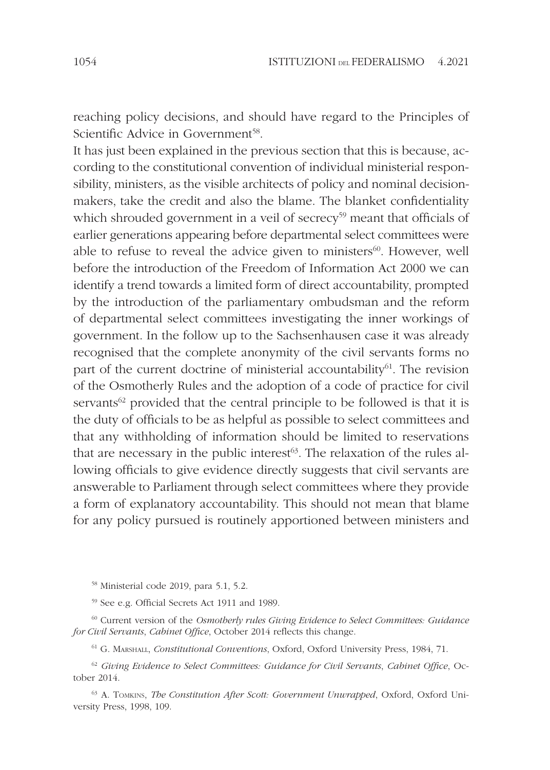reaching policy decisions, and should have regard to the Principles of Scientific Advice in Government<sup>58</sup>.

It has just been explained in the previous section that this is because, according to the constitutional convention of individual ministerial responsibility, ministers, as the visible architects of policy and nominal decisionmakers, take the credit and also the blame. The blanket confidentiality which shrouded government in a veil of secrecy<sup>59</sup> meant that officials of earlier generations appearing before departmental select committees were able to refuse to reveal the advice given to ministers $60$ . However, well before the introduction of the Freedom of Information Act 2000 we can identify a trend towards a limited form of direct accountability, prompted by the introduction of the parliamentary ombudsman and the reform of departmental select committees investigating the inner workings of government. In the follow up to the Sachsenhausen case it was already recognised that the complete anonymity of the civil servants forms no part of the current doctrine of ministerial accountability $61$ . The revision of the Osmotherly Rules and the adoption of a code of practice for civil servants<sup>62</sup> provided that the central principle to be followed is that it is the duty of officials to be as helpful as possible to select committees and that any withholding of information should be limited to reservations that are necessary in the public interest<sup> $63$ </sup>. The relaxation of the rules allowing officials to give evidence directly suggests that civil servants are answerable to Parliament through select committees where they provide a form of explanatory accountability. This should not mean that blame for any policy pursued is routinely apportioned between ministers and

<sup>58</sup> Ministerial code 2019, para 5.1, 5.2.

<sup>59</sup> See e.g. Official Secrets Act 1911 and 1989.

<sup>60</sup> Current version of the Osmotherly rules Giving Evidence to Select Committees: Guidance for Civil Servants, Cabinet Office, October 2014 reflects this change.

<sup>61</sup> G. MARSHALL, Constitutional Conventions, Oxford, Oxford University Press, 1984, 71.

 $62$  Giving Evidence to Select Committees: Guidance for Civil Servants, Cabinet Office, October 2014.

<sup>63</sup> A. TOMKINS, *The Constitution After Scott: Government Unwrapped*, Oxford, Oxford University Press, 1998, 109.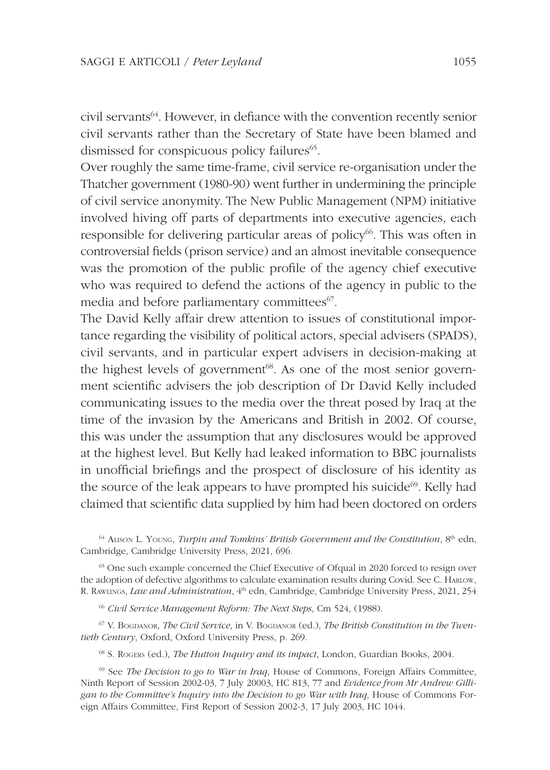civil servants<sup>64</sup>. However, in defiance with the convention recently senior civil servants rather than the Secretary of State have been blamed and dismissed for conspicuous policy failures<sup>65</sup>.

Over roughly the same time-frame, civil service re-organisation under the Thatcher government (1980-90) went further in undermining the principle of civil service anonymity. The New Public Management (NPM) initiative involved hiving off parts of departments into executive agencies, each responsible for delivering particular areas of policy<sup>66</sup>. This was often in controversial fields (prison service) and an almost inevitable consequence was the promotion of the public profile of the agency chief executive who was required to defend the actions of the agency in public to the media and before parliamentary committees<sup>67</sup>.

The David Kelly affair drew attention to issues of constitutional importance regarding the visibility of political actors, special advisers (SPADS), civil servants, and in particular expert advisers in decision-making at the highest levels of government<sup>68</sup>. As one of the most senior government scientific advisers the job description of Dr David Kelly included communicating issues to the media over the threat posed by Iraq at the time of the invasion by the Americans and British in 2002. Of course, this was under the assumption that any disclosures would be approved at the highest level. But Kelly had leaked information to BBC journalists in unofficial briefings and the prospect of disclosure of his identity as the source of the leak appears to have prompted his suicide<sup>69</sup>. Kelly had claimed that scientific data supplied by him had been doctored on orders

 $64$  ALISON L. YOUNG, Turpin and Tomkins' British Government and the Constitution,  $8<sup>th</sup>$  edn, Cambridge, Cambridge University Press, 2021, 696.

<sup>65</sup> One such example concerned the Chief Executive of Ofqual in 2020 forced to resign over the adoption of defective algorithms to calculate examination results during Covid. See C. HARLOW, R. RAWLINGS, *Law and Administration*,  $4<sup>th</sup>$  edn, Cambridge, Cambridge University Press, 2021, 254

<sup>66</sup> Civil Service Management Reform: The Next Steps, Cm 524, (1988).

 $67$  V. BOGDANOR, The Civil Service, in V. BOGDANOR (ed.), The British Constitution in the Twentieth Century, Oxford, Oxford University Press, p. 269.

<sup>68</sup> S. Rogers (ed.), *The Hutton Inquiry and its impact*, London, Guardian Books, 2004.

 $69$  See The Decision to go to War in Iraq, House of Commons, Foreign Affairs Committee, Ninth Report of Session 2002-03, 7 July 20003, HC 813, 77 and Evidence from Mr Andrew Gilligan to the Committee's Inquiry into the Decision to go War with Iraq, House of Commons Foreign Affairs Committee, First Report of Session 2002-3, 17 July 2003, HC 1044.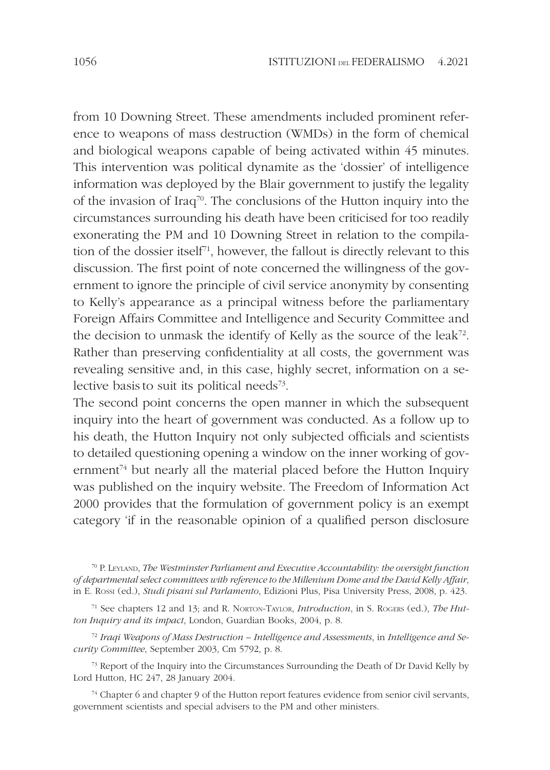from 10 Downing Street. These amendments included prominent reference to weapons of mass destruction (WMDs) in the form of chemical and biological weapons capable of being activated within 45 minutes. This intervention was political dynamite as the 'dossier' of intelligence information was deployed by the Blair government to justify the legality of the invasion of Iraq<sup>70</sup>. The conclusions of the Hutton inquiry into the circumstances surrounding his death have been criticised for too readily exonerating the PM and 10 Downing Street in relation to the compilation of the dossier itself<sup>71</sup>, however, the fallout is directly relevant to this discussion. The first point of note concerned the willingness of the government to ignore the principle of civil service anonymity by consenting to Kelly's appearance as a principal witness before the parliamentary Foreign Affairs Committee and Intelligence and Security Committee and the decision to unmask the identify of Kelly as the source of the  $leak^{72}$ . Rather than preserving confidentiality at all costs, the government was revealing sensitive and, in this case, highly secret, information on a selective basis to suit its political needs<sup>73</sup>.

The second point concerns the open manner in which the subsequent inquiry into the heart of government was conducted. As a follow up to his death, the Hutton Inquiry not only subjected officials and scientists to detailed questioning opening a window on the inner working of government<sup>74</sup> but nearly all the material placed before the Hutton Inquiry was published on the inquiry website. The Freedom of Information Act 2000 provides that the formulation of government policy is an exempt category 'if in the reasonable opinion of a qualified person disclosure

 $72$  Iraqi Weapons of Mass Destruction – Intelligence and Assessments, in Intelligence and Security Committee, September 2003, Cm 5792, p. 8.

73 Report of the Inquiry into the Circumstances Surrounding the Death of Dr David Kelly by Lord Hutton, HC 247, 28 January 2004.

<sup>74</sup> Chapter 6 and chapter 9 of the Hutton report features evidence from senior civil servants, government scientists and special advisers to the PM and other ministers.

 $70$  P. LEYLAND, The Westminster Parliament and Executive Accountability: the oversight function of departmental select committees with reference to the Millenium Dome and the David Kelly Affair, in E. ROSSI (ed.), Studi pisani sul Parlamento, Edizioni Plus, Pisa University Press, 2008, p. 423.

 $71$  See chapters 12 and 13; and R. NORTON-TAYLOR, *Introduction*, in S. Rogers (ed.), *The Hut*ton Inquiry and its impact, London, Guardian Books, 2004, p. 8.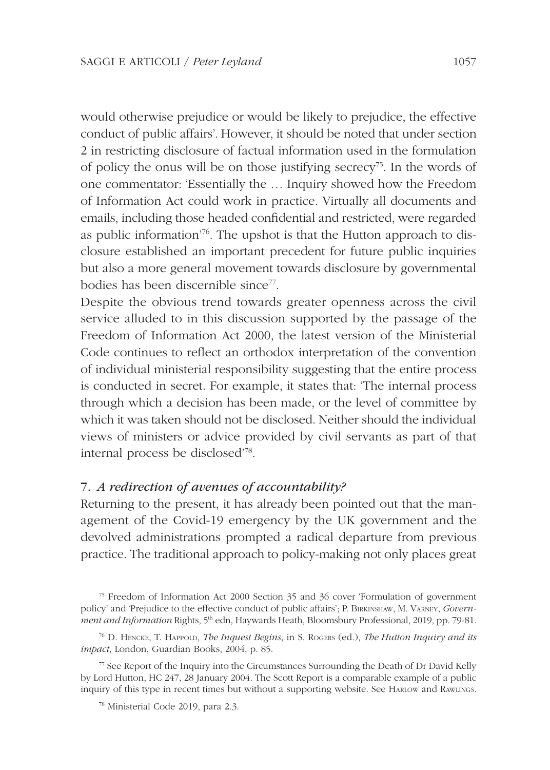would otherwise prejudice or would be likely to prejudice, the effective conduct of public affairs'. However, it should be noted that under section 2 in restricting disclosure of factual information used in the formulation of policy the onus will be on those justifying secrecy<sup>75</sup>. In the words of one commentator: 'Essentially the … Inquiry showed how the Freedom of Information Act could work in practice. Virtually all documents and emails, including those headed confidential and restricted, were regarded as public information'76. The upshot is that the Hutton approach to disclosure established an important precedent for future public inquiries but also a more general movement towards disclosure by governmental bodies has been discernible since<sup>77</sup>.

Despite the obvious trend towards greater openness across the civil service alluded to in this discussion supported by the passage of the Freedom of Information Act 2000, the latest version of the Ministerial Code continues to reflect an orthodox interpretation of the convention of individual ministerial responsibility suggesting that the entire process is conducted in secret. For example, it states that: 'The internal process through which a decision has been made, or the level of committee by which it was taken should not be disclosed. Neither should the individual views of ministers or advice provided by civil servants as part of that internal process be disclosed'<sup>78</sup> .

# 7. A redirection of avenues of accountability?

Returning to the present, it has already been pointed out that the management of the Covid-19 emergency by the UK government and the devolved administrations prompted a radical departure from previous practice. The traditional approach to policy-making not only places great

<sup>75</sup> Freedom of Information Act 2000 Section 35 and 36 cover 'Formulation of government policy' and 'Prejudice to the effective conduct of public affairs'; P. BIRKINSHAW, M. VARNEY, Government and Information Rights, 5<sup>th</sup> edn, Haywards Heath, Bloomsbury Professional, 2019, pp. 79-81.

 $^{76}$  D. HENCKE, T. HAPPOLD, The Inquest Begins, in S. ROGERS (ed.), The Hutton Inquiry and its impact, London, Guardian Books, 2004, p. 85.

 $77$  See Report of the Inquiry into the Circumstances Surrounding the Death of Dr David Kelly by Lord Hutton, HC 247, 28 January 2004. The Scott Report is a comparable example of a public inquiry of this type in recent times but without a supporting website. See HARLOW and RAWLINGS.

<sup>78</sup> Ministerial Code 2019, para 2.3.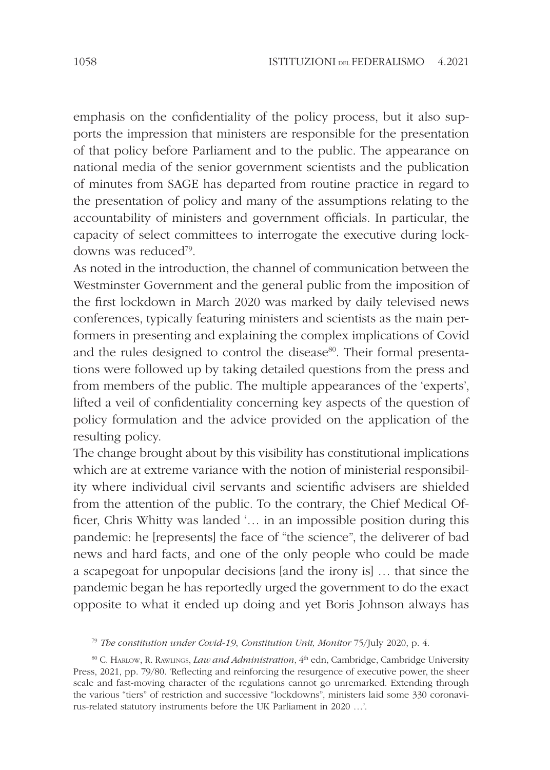emphasis on the confidentiality of the policy process, but it also supports the impression that ministers are responsible for the presentation of that policy before Parliament and to the public. The appearance on national media of the senior government scientists and the publication of minutes from SAGE has departed from routine practice in regard to the presentation of policy and many of the assumptions relating to the accountability of ministers and government officials. In particular, the capacity of select committees to interrogate the executive during lockdowns was reduced<sup>79</sup> .

As noted in the introduction, the channel of communication between the Westminster Government and the general public from the imposition of the first lockdown in March 2020 was marked by daily televised news conferences, typically featuring ministers and scientists as the main performers in presenting and explaining the complex implications of Covid and the rules designed to control the disease<sup>80</sup>. Their formal presentations were followed up by taking detailed questions from the press and from members of the public. The multiple appearances of the 'experts', lifted a veil of confidentiality concerning key aspects of the question of policy formulation and the advice provided on the application of the resulting policy.

The change brought about by this visibility has constitutional implications which are at extreme variance with the notion of ministerial responsibility where individual civil servants and scientific advisers are shielded from the attention of the public. To the contrary, the Chief Medical Officer, Chris Whitty was landed '… in an impossible position during this pandemic: he [represents] the face of "the science", the deliverer of bad news and hard facts, and one of the only people who could be made a scapegoat for unpopular decisions [and the irony is] … that since the pandemic began he has reportedly urged the government to do the exact opposite to what it ended up doing and yet Boris Johnson always has

 $79$  The constitution under Covid-19, Constitution Unit, Monitor 75/July 2020, p. 4.

80 C. HARLOW, R. RAWLINGS, *Law and Administration*, 4<sup>th</sup> edn, Cambridge, Cambridge University Press, 2021, pp. 79/80. 'Reflecting and reinforcing the resurgence of executive power, the sheer scale and fast-moving character of the regulations cannot go unremarked. Extending through the various "tiers" of restriction and successive "lockdowns", ministers laid some 330 coronavirus-related statutory instruments before the UK Parliament in 2020 …'.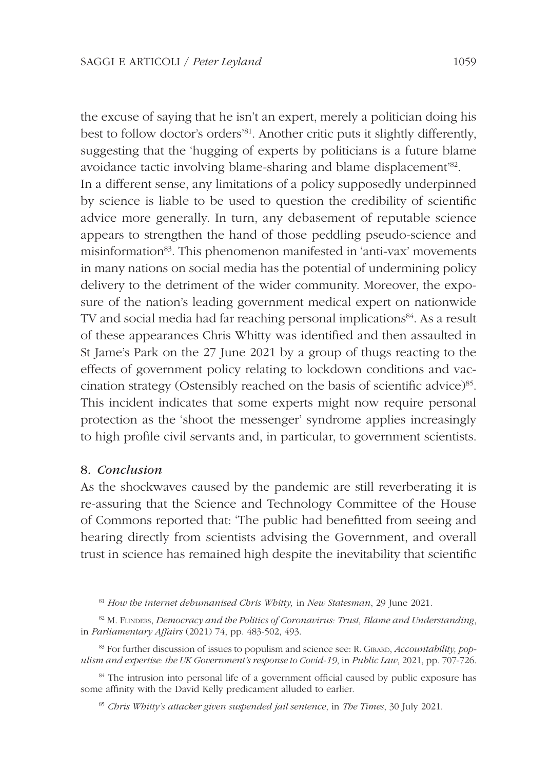the excuse of saying that he isn't an expert, merely a politician doing his best to follow doctor's orders<sup>'81</sup>. Another critic puts it slightly differently, suggesting that the 'hugging of experts by politicians is a future blame avoidance tactic involving blame-sharing and blame displacement'<sup>82</sup> . In a different sense, any limitations of a policy supposedly underpinned by science is liable to be used to question the credibility of scientific advice more generally. In turn, any debasement of reputable science appears to strengthen the hand of those peddling pseudo-science and misinformation<sup>83</sup>. This phenomenon manifested in 'anti-vax' movements in many nations on social media has the potential of undermining policy delivery to the detriment of the wider community. Moreover, the exposure of the nation's leading government medical expert on nationwide TV and social media had far reaching personal implications<sup>84</sup>. As a result of these appearances Chris Whitty was identified and then assaulted in St Jame's Park on the 27 June 2021 by a group of thugs reacting to the effects of government policy relating to lockdown conditions and vaccination strategy (Ostensibly reached on the basis of scientific advice)<sup>85</sup>. This incident indicates that some experts might now require personal protection as the 'shoot the messenger' syndrome applies increasingly to high profile civil servants and, in particular, to government scientists.

# 8. Conclusion

As the shockwaves caused by the pandemic are still reverberating it is re-assuring that the Science and Technology Committee of the House of Commons reported that: 'The public had benefitted from seeing and hearing directly from scientists advising the Government, and overall trust in science has remained high despite the inevitability that scientific

 $81$  How the internet dehumanised Chris Whitty, in New Statesman, 29 June 2021.

 $82$  M. FUNDERS, Democracy and the Politics of Coronavirus: Trust, Blame and Understanding, in Parliamentary Affairs (2021) 74, pp. 483-502, 493.

<sup>83</sup> For further discussion of issues to populism and science see: R. GIRARD, *Accountability, pop*ulism and expertise: the UK Government's response to Covid-19, in Public Law, 2021, pp. 707-726.

<sup>84</sup> The intrusion into personal life of a government official caused by public exposure has some affinity with the David Kelly predicament alluded to earlier.

<sup>85</sup> Chris Whitty's attacker given suspended jail sentence, in The Times, 30 July 2021.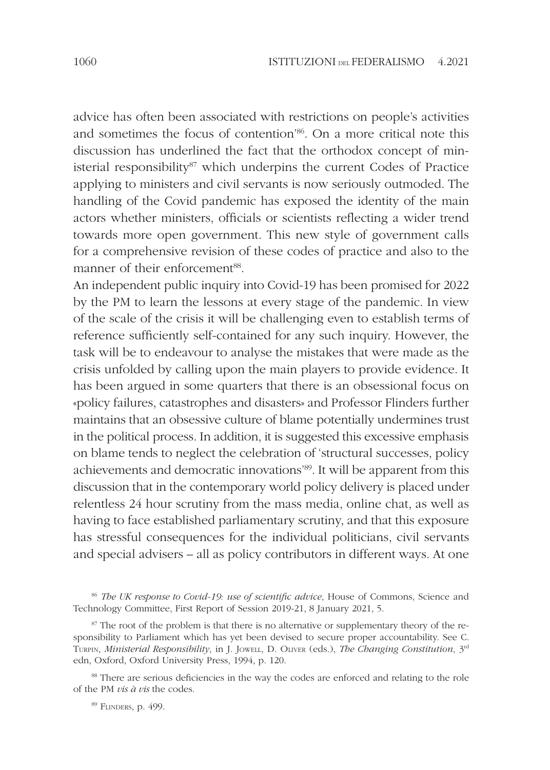advice has often been associated with restrictions on people's activities and sometimes the focus of contention<sup>'86</sup>. On a more critical note this discussion has underlined the fact that the orthodox concept of ministerial responsibility<sup>87</sup> which underpins the current Codes of Practice applying to ministers and civil servants is now seriously outmoded. The handling of the Covid pandemic has exposed the identity of the main actors whether ministers, officials or scientists reflecting a wider trend towards more open government. This new style of government calls for a comprehensive revision of these codes of practice and also to the manner of their enforcement<sup>88</sup>.

An independent public inquiry into Covid-19 has been promised for 2022 by the PM to learn the lessons at every stage of the pandemic. In view of the scale of the crisis it will be challenging even to establish terms of reference sufficiently self-contained for any such inquiry. However, the task will be to endeavour to analyse the mistakes that were made as the crisis unfolded by calling upon the main players to provide evidence. It has been argued in some quarters that there is an obsessional focus on «policy failures, catastrophes and disasters» and Professor Flinders further maintains that an obsessive culture of blame potentially undermines trust in the political process. In addition, it is suggested this excessive emphasis on blame tends to neglect the celebration of 'structural successes, policy achievements and democratic innovations'<sup>89</sup>. It will be apparent from this discussion that in the contemporary world policy delivery is placed under relentless 24 hour scrutiny from the mass media, online chat, as well as having to face established parliamentary scrutiny, and that this exposure has stressful consequences for the individual politicians, civil servants and special advisers – all as policy contributors in different ways. At one

<sup>88</sup> There are serious deficiencies in the way the codes are enforced and relating to the role of the PM  $vis \hat{a} vis$  the codes.

<sup>89</sup> FLINDERS, p. 499.

<sup>&</sup>lt;sup>86</sup> The UK response to Covid-19: use of scientific advice, House of Commons, Science and Technology Committee, First Report of Session 2019-21, 8 January 2021, 5.

 $87$  The root of the problem is that there is no alternative or supplementary theory of the responsibility to Parliament which has yet been devised to secure proper accountability. See C. TURPIN, Ministerial Responsibility, in J. JOWELL, D. OLIVER (eds.), The Changing Constitution, 3rd edn, Oxford, Oxford University Press, 1994, p. 120.